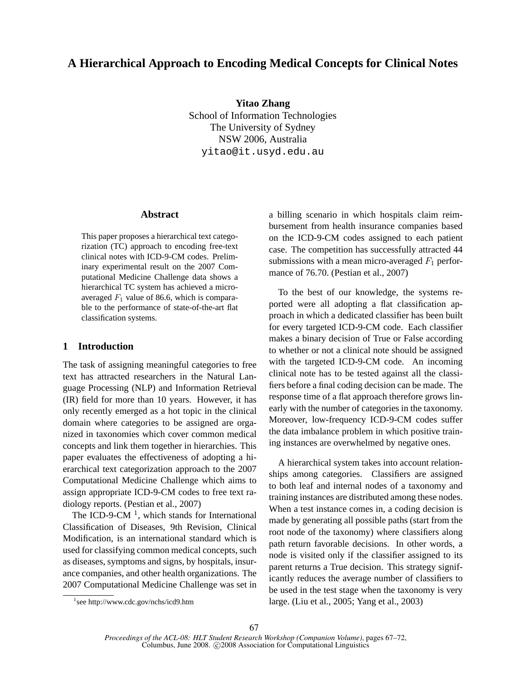# **A Hierarchical Approach to Encoding Medical Concepts for Clinical Notes**

**Yitao Zhang** School of Information Technologies The University of Sydney NSW 2006, Australia yitao@it.usyd.edu.au

## **Abstract**

This paper proposes a hierarchical text categorization (TC) approach to encoding free-text clinical notes with ICD-9-CM codes. Preliminary experimental result on the 2007 Computational Medicine Challenge data shows a hierarchical TC system has achieved a microaveraged  $F_1$  value of 86.6, which is comparable to the performance of state-of-the-art flat classification systems.

#### **1 Introduction**

The task of assigning meaningful categories to free text has attracted researchers in the Natural Language Processing (NLP) and Information Retrieval (IR) field for more than 10 years. However, it has only recently emerged as a hot topic in the clinical domain where categories to be assigned are organized in taxonomies which cover common medical concepts and link them together in hierarchies. This paper evaluates the effectiveness of adopting a hierarchical text categorization approach to the 2007 Computational Medicine Challenge which aims to assign appropriate ICD-9-CM codes to free text radiology reports. (Pestian et al., 2007)

The ICD-9-CM $<sup>1</sup>$ , which stands for International</sup> Classification of Diseases, 9th Revision, Clinical Modification, is an international standard which is used for classifying common medical concepts, such as diseases, symptoms and signs, by hospitals, insurance companies, and other health organizations. The 2007 Computational Medicine Challenge was set in a billing scenario in which hospitals claim reimbursement from health insurance companies based on the ICD-9-CM codes assigned to each patient case. The competition has successfully attracted 44 submissions with a mean micro-averaged  $F_1$  performance of 76.70. (Pestian et al., 2007)

To the best of our knowledge, the systems reported were all adopting a flat classification approach in which a dedicated classifier has been built for every targeted ICD-9-CM code. Each classifier makes a binary decision of True or False according to whether or not a clinical note should be assigned with the targeted ICD-9-CM code. An incoming clinical note has to be tested against all the classifiers before a final coding decision can be made. The response time of a flat approach therefore grows linearly with the number of categories in the taxonomy. Moreover, low-frequency ICD-9-CM codes suffer the data imbalance problem in which positive training instances are overwhelmed by negative ones.

A hierarchical system takes into account relationships among categories. Classifiers are assigned to both leaf and internal nodes of a taxonomy and training instances are distributed among these nodes. When a test instance comes in, a coding decision is made by generating all possible paths (start from the root node of the taxonomy) where classifiers along path return favorable decisions. In other words, a node is visited only if the classifier assigned to its parent returns a True decision. This strategy significantly reduces the average number of classifiers to be used in the test stage when the taxonomy is very large. (Liu et al., 2005; Yang et al., 2003)

<sup>1</sup> see http://www.cdc.gov/nchs/icd9.htm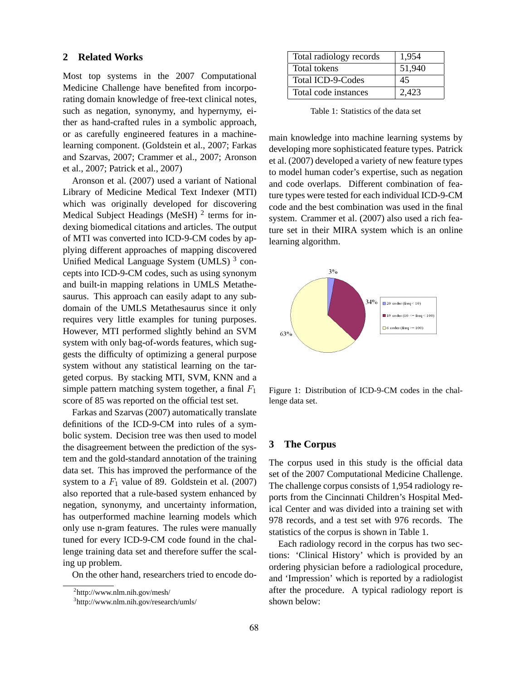## **2 Related Works**

Most top systems in the 2007 Computational Medicine Challenge have benefited from incorporating domain knowledge of free-text clinical notes, such as negation, synonymy, and hypernymy, either as hand-crafted rules in a symbolic approach, or as carefully engineered features in a machinelearning component. (Goldstein et al., 2007; Farkas and Szarvas, 2007; Crammer et al., 2007; Aronson et al., 2007; Patrick et al., 2007)

Aronson et al. (2007) used a variant of National Library of Medicine Medical Text Indexer (MTI) which was originally developed for discovering Medical Subject Headings (MeSH)<sup>2</sup> terms for indexing biomedical citations and articles. The output of MTI was converted into ICD-9-CM codes by applying different approaches of mapping discovered Unified Medical Language System (UMLS)<sup>3</sup> concepts into ICD-9-CM codes, such as using synonym and built-in mapping relations in UMLS Metathesaurus. This approach can easily adapt to any subdomain of the UMLS Metathesaurus since it only requires very little examples for tuning purposes. However, MTI performed slightly behind an SVM system with only bag-of-words features, which suggests the difficulty of optimizing a general purpose system without any statistical learning on the targeted corpus. By stacking MTI, SVM, KNN and a simple pattern matching system together, a final  $F_1$ score of 85 was reported on the official test set.

Farkas and Szarvas (2007) automatically translate definitions of the ICD-9-CM into rules of a symbolic system. Decision tree was then used to model the disagreement between the prediction of the system and the gold-standard annotation of the training data set. This has improved the performance of the system to a  $F_1$  value of 89. Goldstein et al. (2007) also reported that a rule-based system enhanced by negation, synonymy, and uncertainty information, has outperformed machine learning models which only use n-gram features. The rules were manually tuned for every ICD-9-CM code found in the challenge training data set and therefore suffer the scaling up problem.

On the other hand, researchers tried to encode do-

| Total radiology records | 1.954  |
|-------------------------|--------|
| Total tokens            | 51,940 |
| Total ICD-9-Codes       | 45     |
| Total code instances    | 2.423  |

Table 1: Statistics of the data set

main knowledge into machine learning systems by developing more sophisticated feature types. Patrick et al. (2007) developed a variety of new feature types to model human coder's expertise, such as negation and code overlaps. Different combination of feature types were tested for each individual ICD-9-CM code and the best combination was used in the final system. Crammer et al. (2007) also used a rich feature set in their MIRA system which is an online learning algorithm.



Figure 1: Distribution of ICD-9-CM codes in the challenge data set.

### **3 The Corpus**

The corpus used in this study is the official data set of the 2007 Computational Medicine Challenge. The challenge corpus consists of 1,954 radiology reports from the Cincinnati Children's Hospital Medical Center and was divided into a training set with 978 records, and a test set with 976 records. The statistics of the corpus is shown in Table 1.

Each radiology record in the corpus has two sections: 'Clinical History' which is provided by an ordering physician before a radiological procedure, and 'Impression' which is reported by a radiologist after the procedure. A typical radiology report is shown below:

<sup>2</sup> http://www.nlm.nih.gov/mesh/

<sup>3</sup> http://www.nlm.nih.gov/research/umls/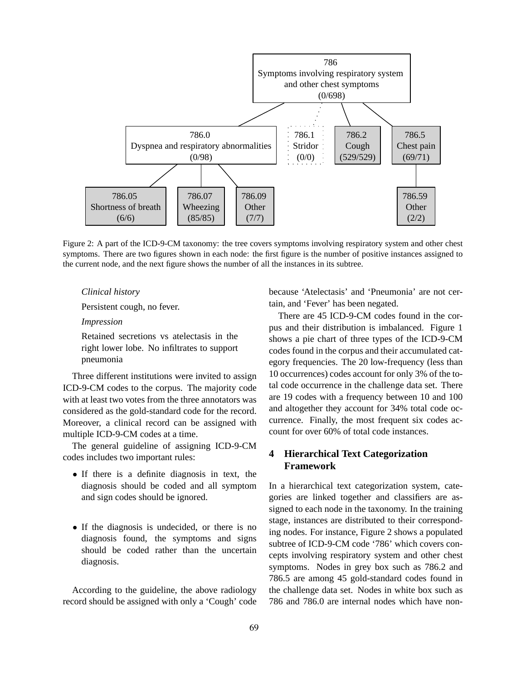

Figure 2: A part of the ICD-9-CM taxonomy: the tree covers symptoms involving respiratory system and other chest symptoms. There are two figures shown in each node: the first figure is the number of positive instances assigned to the current node, and the next figure shows the number of all the instances in its subtree.

#### *Clinical history*

Persistent cough, no fever.

*Impression*

Retained secretions vs atelectasis in the right lower lobe. No infiltrates to support pneumonia

Three different institutions were invited to assign ICD-9-CM codes to the corpus. The majority code with at least two votes from the three annotators was considered as the gold-standard code for the record. Moreover, a clinical record can be assigned with multiple ICD-9-CM codes at a time.

The general guideline of assigning ICD-9-CM codes includes two important rules:

- If there is a definite diagnosis in text, the diagnosis should be coded and all symptom and sign codes should be ignored.
- If the diagnosis is undecided, or there is no diagnosis found, the symptoms and signs should be coded rather than the uncertain diagnosis.

According to the guideline, the above radiology record should be assigned with only a 'Cough' code because 'Atelectasis' and 'Pneumonia' are not certain, and 'Fever' has been negated.

There are 45 ICD-9-CM codes found in the corpus and their distribution is imbalanced. Figure 1 shows a pie chart of three types of the ICD-9-CM codes found in the corpus and their accumulated category frequencies. The 20 low-frequency (less than 10 occurrences) codes account for only 3% of the total code occurrence in the challenge data set. There are 19 codes with a frequency between 10 and 100 and altogether they account for 34% total code occurrence. Finally, the most frequent six codes account for over 60% of total code instances.

## **4 Hierarchical Text Categorization Framework**

In a hierarchical text categorization system, categories are linked together and classifiers are assigned to each node in the taxonomy. In the training stage, instances are distributed to their corresponding nodes. For instance, Figure 2 shows a populated subtree of ICD-9-CM code '786' which covers concepts involving respiratory system and other chest symptoms. Nodes in grey box such as 786.2 and 786.5 are among 45 gold-standard codes found in the challenge data set. Nodes in white box such as 786 and 786.0 are internal nodes which have non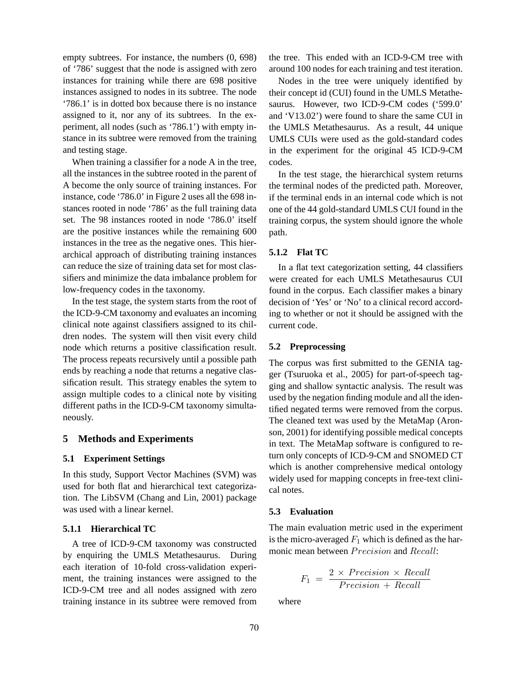empty subtrees. For instance, the numbers (0, 698) of '786' suggest that the node is assigned with zero instances for training while there are 698 positive instances assigned to nodes in its subtree. The node '786.1' is in dotted box because there is no instance assigned to it, nor any of its subtrees. In the experiment, all nodes (such as '786.1') with empty instance in its subtree were removed from the training and testing stage.

When training a classifier for a node A in the tree, all the instances in the subtree rooted in the parent of A become the only source of training instances. For instance, code '786.0' in Figure 2 uses all the 698 instances rooted in node '786' as the full training data set. The 98 instances rooted in node '786.0' itself are the positive instances while the remaining 600 instances in the tree as the negative ones. This hierarchical approach of distributing training instances can reduce the size of training data set for most classifiers and minimize the data imbalance problem for low-frequency codes in the taxonomy.

In the test stage, the system starts from the root of the ICD-9-CM taxonomy and evaluates an incoming clinical note against classifiers assigned to its children nodes. The system will then visit every child node which returns a positive classification result. The process repeats recursively until a possible path ends by reaching a node that returns a negative classification result. This strategy enables the sytem to assign multiple codes to a clinical note by visiting different paths in the ICD-9-CM taxonomy simultaneously.

## **5 Methods and Experiments**

## **5.1 Experiment Settings**

In this study, Support Vector Machines (SVM) was used for both flat and hierarchical text categorization. The LibSVM (Chang and Lin, 2001) package was used with a linear kernel.

#### **5.1.1 Hierarchical TC**

A tree of ICD-9-CM taxonomy was constructed by enquiring the UMLS Metathesaurus. During each iteration of 10-fold cross-validation experiment, the training instances were assigned to the ICD-9-CM tree and all nodes assigned with zero training instance in its subtree were removed from the tree. This ended with an ICD-9-CM tree with around 100 nodes for each training and test iteration.

Nodes in the tree were uniquely identified by their concept id (CUI) found in the UMLS Metathesaurus. However, two ICD-9-CM codes ('599.0' and 'V13.02') were found to share the same CUI in the UMLS Metathesaurus. As a result, 44 unique UMLS CUIs were used as the gold-standard codes in the experiment for the original 45 ICD-9-CM codes.

In the test stage, the hierarchical system returns the terminal nodes of the predicted path. Moreover, if the terminal ends in an internal code which is not one of the 44 gold-standard UMLS CUI found in the training corpus, the system should ignore the whole path.

## **5.1.2 Flat TC**

In a flat text categorization setting, 44 classifiers were created for each UMLS Metathesaurus CUI found in the corpus. Each classifier makes a binary decision of 'Yes' or 'No' to a clinical record according to whether or not it should be assigned with the current code.

#### **5.2 Preprocessing**

The corpus was first submitted to the GENIA tagger (Tsuruoka et al., 2005) for part-of-speech tagging and shallow syntactic analysis. The result was used by the negation finding module and all the identified negated terms were removed from the corpus. The cleaned text was used by the MetaMap (Aronson, 2001) for identifying possible medical concepts in text. The MetaMap software is configured to return only concepts of ICD-9-CM and SNOMED CT which is another comprehensive medical ontology widely used for mapping concepts in free-text clinical notes.

#### **5.3 Evaluation**

The main evaluation metric used in the experiment is the micro-averaged  $F_1$  which is defined as the harmonic mean between Precision and Recall:

$$
F_1 = \frac{2 \times Precision \times Recall}{Precision + Recall}
$$

where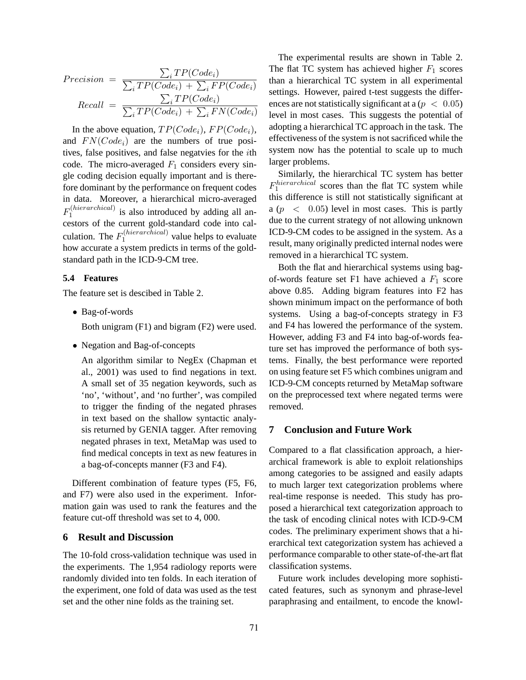$$
Precision = \frac{\sum_{i} TP(Code_{i})}{\sum_{i} TP(Code_{i}) + \sum_{i} FP(Code_{i})}
$$

$$
Recall = \frac{\sum_{i} TP(Code_{i})}{\sum_{i} TP(Code_{i}) + \sum_{i} FN(Code_{i})}
$$

In the above equation,  $TP(Code_i)$ ,  $FP(Code_i)$ , and  $FN(Code_i)$  are the numbers of true positives, false positives, and false negatvies for the ith code. The micro-averaged  $F_1$  considers every single coding decision equally important and is therefore dominant by the performance on frequent codes in data. Moreover, a hierarchical micro-averaged  $F_1^{(hierarchical)}$  $i<sub>1</sub>$ <sup>(*inerarchical*) is also introduced by adding all an-</sup> cestors of the current gold-standard code into calculation. The  $F_1^{(hierarchical)}$  $_1^{(nierarchical)}$  value helps to evaluate how accurate a system predicts in terms of the goldstandard path in the ICD-9-CM tree.

## **5.4 Features**

The feature set is descibed in Table 2.

• Bag-of-words

Both unigram (F1) and bigram (F2) were used.

• Negation and Bag-of-concepts

An algorithm similar to NegEx (Chapman et al., 2001) was used to find negations in text. A small set of 35 negation keywords, such as 'no', 'without', and 'no further', was compiled to trigger the finding of the negated phrases in text based on the shallow syntactic analysis returned by GENIA tagger. After removing negated phrases in text, MetaMap was used to find medical concepts in text as new features in a bag-of-concepts manner (F3 and F4).

Different combination of feature types (F5, F6, and F7) were also used in the experiment. Information gain was used to rank the features and the feature cut-off threshold was set to 4, 000.

## **6 Result and Discussion**

The 10-fold cross-validation technique was used in the experiments. The 1,954 radiology reports were randomly divided into ten folds. In each iteration of the experiment, one fold of data was used as the test set and the other nine folds as the training set.

The experimental results are shown in Table 2. The flat TC system has achieved higher  $F_1$  scores than a hierarchical TC system in all experimental settings. However, paired t-test suggests the differences are not statistically significant at a ( $p < 0.05$ ) level in most cases. This suggests the potential of adopting a hierarchical TC approach in the task. The effectiveness of the system is not sacrificed while the system now has the potential to scale up to much larger problems.

Similarly, the hierarchical TC system has better  $F_1^{hierarchical}$ *hiterarchical* scores than the flat TC system while this difference is still not statistically significant at a  $(p \lt 0.05)$  level in most cases. This is partly due to the current strategy of not allowing unknown ICD-9-CM codes to be assigned in the system. As a result, many originally predicted internal nodes were removed in a hierarchical TC system.

Both the flat and hierarchical systems using bagof-words feature set F1 have achieved a  $F_1$  score above 0.85. Adding bigram features into F2 has shown minimum impact on the performance of both systems. Using a bag-of-concepts strategy in F3 and F4 has lowered the performance of the system. However, adding F3 and F4 into bag-of-words feature set has improved the performance of both systems. Finally, the best performance were reported on using feature set F5 which combines unigram and ICD-9-CM concepts returned by MetaMap software on the preprocessed text where negated terms were removed.

## **7 Conclusion and Future Work**

Compared to a flat classification approach, a hierarchical framework is able to exploit relationships among categories to be assigned and easily adapts to much larger text categorization problems where real-time response is needed. This study has proposed a hierarchical text categorization approach to the task of encoding clinical notes with ICD-9-CM codes. The preliminary experiment shows that a hierarchical text categorization system has achieved a performance comparable to other state-of-the-art flat classification systems.

Future work includes developing more sophisticated features, such as synonym and phrase-level paraphrasing and entailment, to encode the knowl-